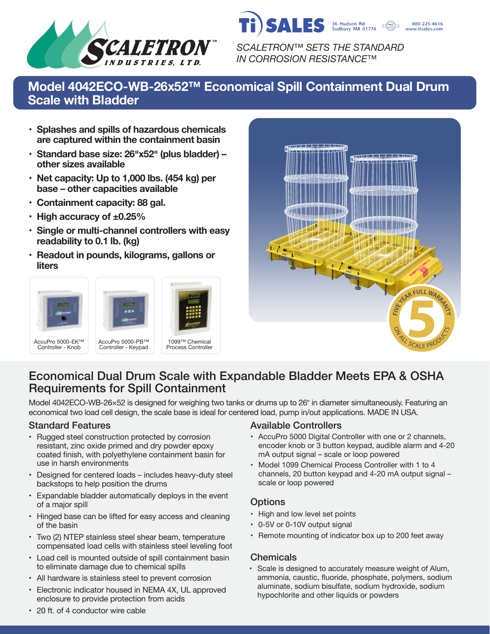



*SCALETRON™ SETS THE STANDARD IN CORROSION RESISTANCE™*

# **Model 4042ECO-WB-26x52™ Economical Spill Containment Dual Drum Scale with Bladder**

- **• Splashes and spills of hazardous chemicals are captured within the containment basin**
- **• Standard base size: 26�x52� (plus bladder) – other sizes available**
- **• Net capacity: Up to 1,000 lbs. (454 kg) per base – other capacities available**
- **• Containment capacity: 88 gal.**
- **• High accuracy of ±0.25%**
- **• Single or multi-channel controllers with easy readability to 0.1 lb. (kg)**
- **• Readout in pounds, kilograms, gallons or liters**





# Economical Dual Drum Scale with Expandable Bladder Meets EPA & OSHA Requirements for Spill Containment

Model 4042ECO-WB-26×52 is designed for weighing two tanks or drums up to 26" in diameter simultaneously. Featuring an economical two load cell design, the scale base is ideal for centered load, pump in/out applications. MADE IN USA.

- Rugged steel construction protected by corrosion resistant, zinc oxide primed and dry powder epoxy coated finish, with polyethylene containment basin for use in harsh environments
- Designed for centered loads includes heavy-duty steel backstops to help position the drums
- Expandable bladder automatically deploys in the event of a major spill
- Hinged base can be lifted for easy access and cleaning of the basin
- Two (2) NTEP stainless steel shear beam, temperature compensated load cells with stainless steel leveling foot
- Load cell is mounted outside of spill containment basin to eliminate damage due to chemical spills
- All hardware is stainless steel to prevent corrosion
- Electronic indicator housed in NEMA 4X, UL approved enclosure to provide protection from acids

## Standard Features Available Controllers

- AccuPro 5000 Digital Controller with one or 2 channels, encoder knob or 3 button keypad, audible alarm and 4-20 mA output signal – scale or loop powered
- Model 1099 Chemical Process Controller with 1 to 4 channels, 20 button keypad and 4-20 mA output signal – scale or loop powered

### **Options**

- High and low level set points
- 0-5V or 0-10V output signal
- Remote mounting of indicator box up to 200 feet away

### **Chemicals**

• Scale is designed to accurately measure weight of Alum, ammonia, caustic, fluoride, phosphate, polymers, sodium aluminate, sodium bisulfate, sodium hydroxide, sodium hypochlorite and other liquids or powders

• 20 ft. of 4 conductor wire cable